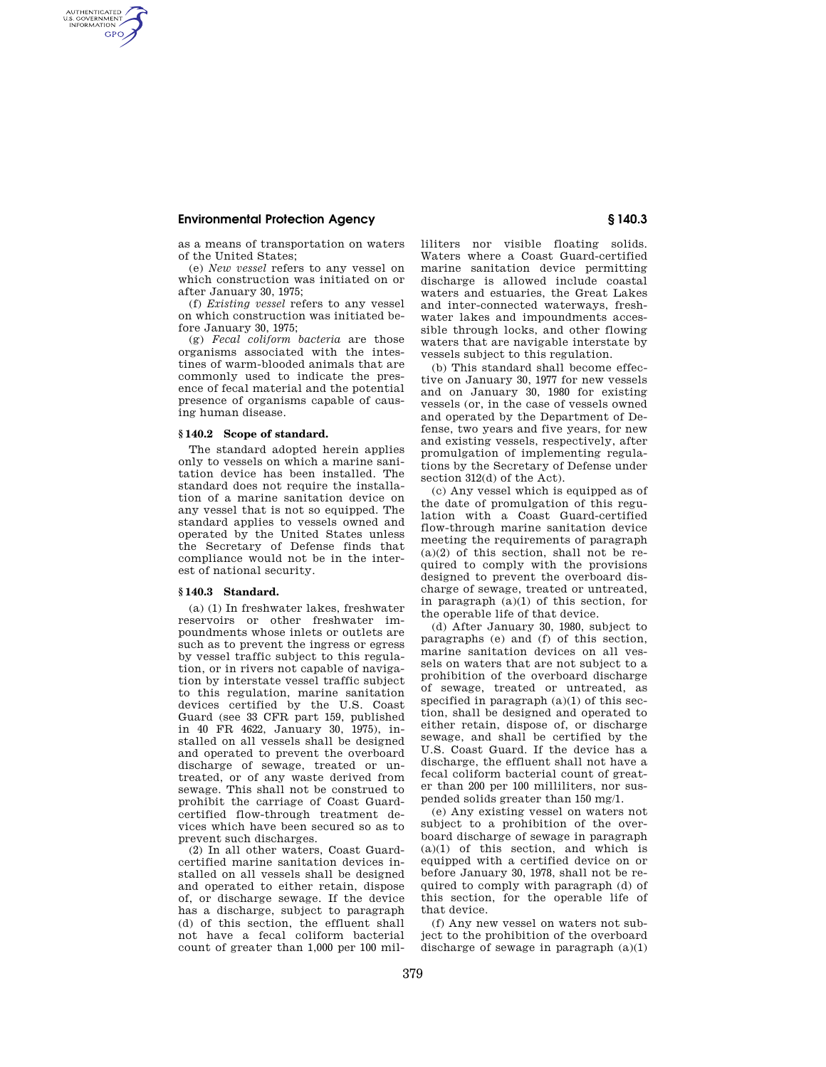## **Environmental Protection Agency § 140.3**

AUTHENTICATED<br>U.S. GOVERNMENT<br>INFORMATION **GPO** 

> as a means of transportation on waters of the United States;

> (e) *New vessel* refers to any vessel on which construction was initiated on or after January 30, 1975;

> (f) *Existing vessel* refers to any vessel on which construction was initiated before January 30, 1975;

> (g) *Fecal coliform bacteria* are those organisms associated with the intestines of warm-blooded animals that are commonly used to indicate the presence of fecal material and the potential presence of organisms capable of causing human disease.

## **§ 140.2 Scope of standard.**

The standard adopted herein applies only to vessels on which a marine sanitation device has been installed. The standard does not require the installation of a marine sanitation device on any vessel that is not so equipped. The standard applies to vessels owned and operated by the United States unless the Secretary of Defense finds that compliance would not be in the interest of national security.

## **§ 140.3 Standard.**

(a) (1) In freshwater lakes, freshwater reservoirs or other freshwater impoundments whose inlets or outlets are such as to prevent the ingress or egress by vessel traffic subject to this regulation, or in rivers not capable of navigation by interstate vessel traffic subject to this regulation, marine sanitation devices certified by the U.S. Coast Guard (see 33 CFR part 159, published in 40 FR 4622, January 30, 1975), installed on all vessels shall be designed and operated to prevent the overboard discharge of sewage, treated or untreated, or of any waste derived from sewage. This shall not be construed to prohibit the carriage of Coast Guardcertified flow-through treatment devices which have been secured so as to prevent such discharges.

(2) In all other waters, Coast Guardcertified marine sanitation devices installed on all vessels shall be designed and operated to either retain, dispose of, or discharge sewage. If the device has a discharge, subject to paragraph (d) of this section, the effluent shall not have a fecal coliform bacterial count of greater than 1,000 per 100 milliliters nor visible floating solids. Waters where a Coast Guard-certified marine sanitation device permitting discharge is allowed include coastal waters and estuaries, the Great Lakes and inter-connected waterways, freshwater lakes and impoundments accessible through locks, and other flowing waters that are navigable interstate by vessels subject to this regulation.

(b) This standard shall become effective on January 30, 1977 for new vessels and on January 30, 1980 for existing vessels (or, in the case of vessels owned and operated by the Department of Defense, two years and five years, for new and existing vessels, respectively, after promulgation of implementing regulations by the Secretary of Defense under section 312(d) of the Act).

(c) Any vessel which is equipped as of the date of promulgation of this regulation with a Coast Guard-certified flow-through marine sanitation device meeting the requirements of paragraph  $(a)(2)$  of this section, shall not be required to comply with the provisions designed to prevent the overboard discharge of sewage, treated or untreated, in paragraph (a)(1) of this section, for the operable life of that device.

(d) After January 30, 1980, subject to paragraphs (e) and (f) of this section, marine sanitation devices on all vessels on waters that are not subject to a prohibition of the overboard discharge of sewage, treated or untreated, as specified in paragraph  $(a)(1)$  of this section, shall be designed and operated to either retain, dispose of, or discharge sewage, and shall be certified by the U.S. Coast Guard. If the device has a discharge, the effluent shall not have a fecal coliform bacterial count of greater than 200 per 100 milliliters, nor suspended solids greater than 150 mg/1.

(e) Any existing vessel on waters not subject to a prohibition of the overboard discharge of sewage in paragraph  $(a)(1)$  of this section, and which is equipped with a certified device on or before January 30, 1978, shall not be required to comply with paragraph (d) of this section, for the operable life of that device.

(f) Any new vessel on waters not subject to the prohibition of the overboard discharge of sewage in paragraph (a)(1)